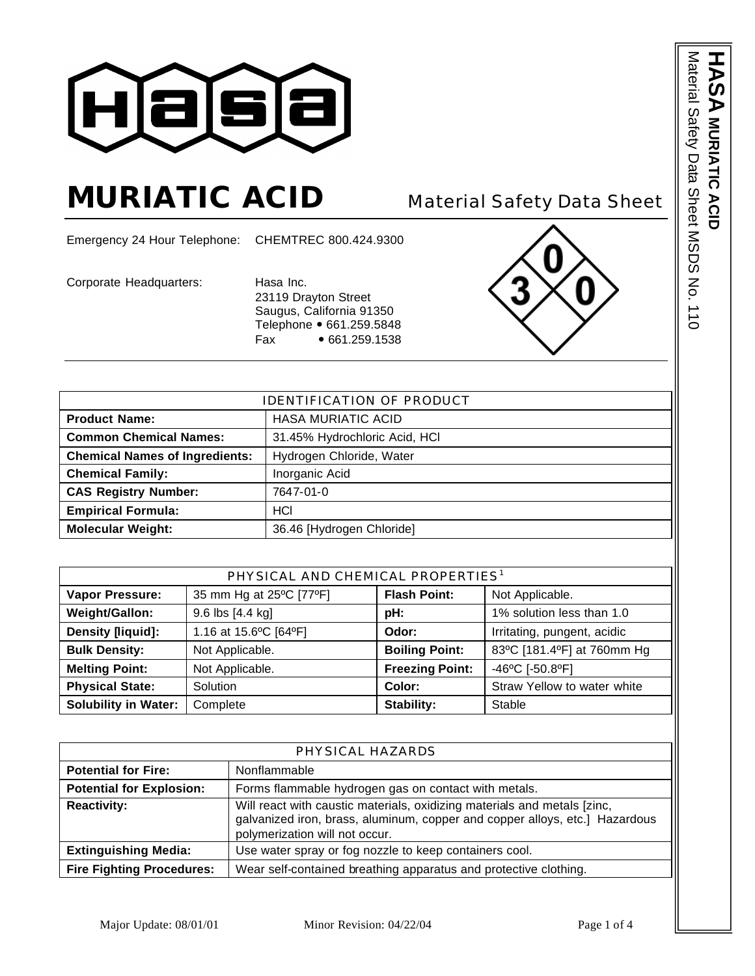

# **MURIATIC ACID** Material Safety Data Sheet

Emergency 24 Hour Telephone: CHEMTREC 800.424.9300

Corporate Headquarters: Hasa Inc.

23119 Drayton Street Saugus, California 91350 Telephone • 661.259.5848 Fax • 661.259.1538



| <b>IDENTIFICATION OF PRODUCT</b>         |                               |  |
|------------------------------------------|-------------------------------|--|
| <b>Product Name:</b>                     | <b>HASA MURIATIC ACID</b>     |  |
| <b>Common Chemical Names:</b>            | 31.45% Hydrochloric Acid, HCI |  |
| <b>Chemical Names of Ingredients:</b>    | Hydrogen Chloride, Water      |  |
| <b>Chemical Family:</b>                  | Inorganic Acid                |  |
| <b>CAS Registry Number:</b><br>7647-01-0 |                               |  |
| <b>Empirical Formula:</b>                | <b>HCI</b>                    |  |
| <b>Molecular Weight:</b>                 | 36.46 [Hydrogen Chloride]     |  |

| PHYSICAL AND CHEMICAL PROPERTIES <sup>1</sup> |                         |                        |                             |
|-----------------------------------------------|-------------------------|------------------------|-----------------------------|
| <b>Vapor Pressure:</b>                        | 35 mm Hg at 25°C [77°F] | <b>Flash Point:</b>    | Not Applicable.             |
| Weight/Gallon:                                | 9.6 lbs [4.4 kg]        | pH:                    | 1% solution less than 1.0   |
| Density [liquid]:                             | 1.16 at 15.6°C [64°F]   | Odor:                  | Irritating, pungent, acidic |
| <b>Bulk Density:</b>                          | Not Applicable.         | <b>Boiling Point:</b>  | 83°C [181.4°F] at 760mm Hg  |
| <b>Melting Point:</b>                         | Not Applicable.         | <b>Freezing Point:</b> | -46°C [-50.8°F]             |
| <b>Physical State:</b>                        | Solution                | Color:                 | Straw Yellow to water white |
| <b>Solubility in Water:</b>                   | Complete                | Stability:             | Stable                      |

| PHYSICAL HAZARDS                 |                                                                                                                                                                                           |  |
|----------------------------------|-------------------------------------------------------------------------------------------------------------------------------------------------------------------------------------------|--|
| <b>Potential for Fire:</b>       | Nonflammable                                                                                                                                                                              |  |
| <b>Potential for Explosion:</b>  | Forms flammable hydrogen gas on contact with metals.                                                                                                                                      |  |
| <b>Reactivity:</b>               | Will react with caustic materials, oxidizing materials and metals [zinc,<br>galvanized iron, brass, aluminum, copper and copper alloys, etc.] Hazardous<br>polymerization will not occur. |  |
| <b>Extinguishing Media:</b>      | Use water spray or fog nozzle to keep containers cool.                                                                                                                                    |  |
| <b>Fire Fighting Procedures:</b> | Wear self-contained breathing apparatus and protective clothing.                                                                                                                          |  |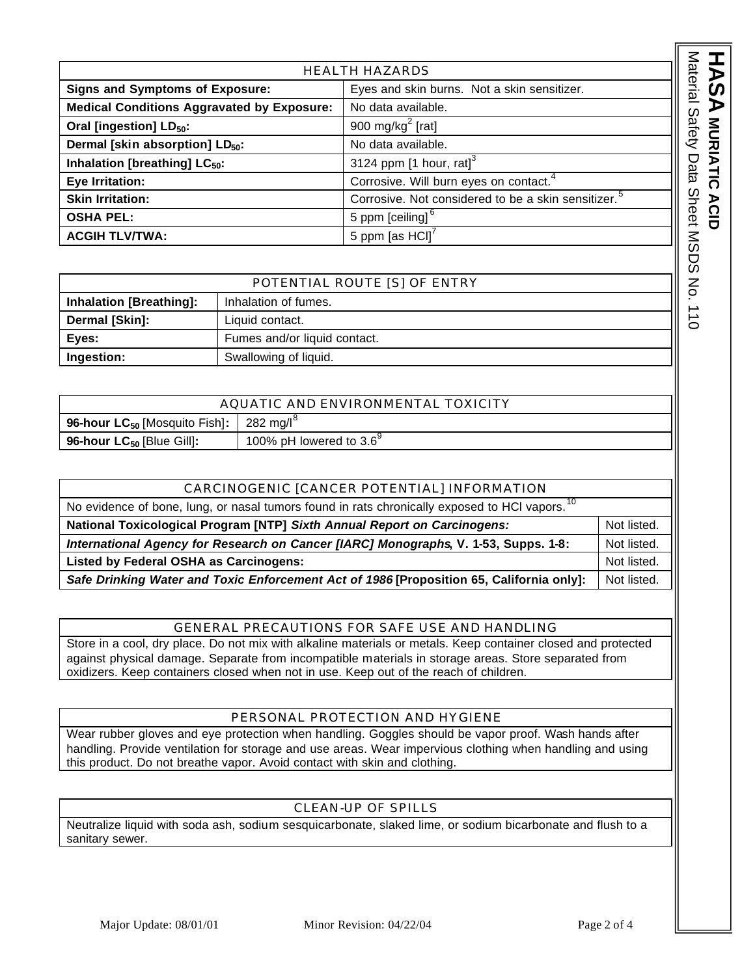| <b>HEALTH HAZARDS</b>                             |                                                                                       |                                                                 |
|---------------------------------------------------|---------------------------------------------------------------------------------------|-----------------------------------------------------------------|
|                                                   | <b>Signs and Symptoms of Exposure:</b><br>Eyes and skin burns. Not a skin sensitizer. |                                                                 |
| <b>Medical Conditions Aggravated by Exposure:</b> |                                                                                       | No data available.                                              |
| Oral [ingestion] LD <sub>50</sub> :               |                                                                                       | 900 mg/kg <sup>2</sup> [rat]                                    |
| Dermal [skin absorption] LD <sub>50</sub> :       |                                                                                       | No data available.                                              |
| Inhalation [breathing] LC <sub>50</sub> :         |                                                                                       | 3124 ppm $[1 \text{ hour}, \text{ rat}]^3$                      |
| Eye Irritation:                                   |                                                                                       | Corrosive. Will burn eyes on contact. <sup>4</sup>              |
| <b>Skin Irritation:</b>                           |                                                                                       | Corrosive. Not considered to be a skin sensitizer. <sup>5</sup> |
| <b>OSHA PEL:</b>                                  |                                                                                       | 5 ppm [ceiling] <sup>6</sup>                                    |
| <b>ACGIH TLV/TWA:</b>                             |                                                                                       | 5 ppm [as $HCI$ ] <sup><math>'</math></sup>                     |
|                                                   |                                                                                       |                                                                 |
|                                                   |                                                                                       |                                                                 |
|                                                   | POTENTIAL ROUTE [S] OF ENTRY                                                          |                                                                 |
| <b>Inhalation [Breathing]:</b>                    | Inhalation of fumes.                                                                  |                                                                 |
| Dermal [Skin]:                                    | Liquid contact.                                                                       |                                                                 |

| POTENTIAL ROUTE [S] OF ENTRY   |                              |
|--------------------------------|------------------------------|
| <b>Inhalation [Breathing]:</b> | Inhalation of fumes.         |
| Dermal [Skin]:                 | Liquid contact.              |
| Eyes:                          | Fumes and/or liquid contact. |
| Ingestion:                     | Swallowing of liquid.        |

| AQUATIC AND ENVIRONMENTAL TOXICITY                                            |                                  |  |
|-------------------------------------------------------------------------------|----------------------------------|--|
| <b>96-hour LC<sub>50</sub></b> [Mosquito Fish]: $\vert$ 282 mg/l <sup>o</sup> |                                  |  |
| 96-hour $LC_{50}$ [Blue Gill]:                                                | 100% pH lowered to $3.6^{\circ}$ |  |

| CARCINOGENIC [CANCER POTENTIAL] INFORMATION                                                               |  |
|-----------------------------------------------------------------------------------------------------------|--|
| No evidence of bone, lung, or nasal tumors found in rats chronically exposed to HCl vapors. <sup>10</sup> |  |
| National Toxicological Program [NTP] Sixth Annual Report on Carcinogens:                                  |  |
| International Agency for Research on Cancer [IARC] Monographs, V. 1-53, Supps. 1-8:                       |  |
| Listed by Federal OSHA as Carcinogens:                                                                    |  |
| Safe Drinking Water and Toxic Enforcement Act of 1986 [Proposition 65, California only]:                  |  |

### GENERAL PRECAUTIONS FOR SAFE USE AND HANDLING

Store in a cool, dry place. Do not mix with alkaline materials or metals. Keep container closed and protected against physical damage. Separate from incompatible materials in storage areas. Store separated from oxidizers. Keep containers closed when not in use. Keep out of the reach of children.

### PERSONAL PROTECTION AND HYGIENE

Wear rubber gloves and eye protection when handling. Goggles should be vapor proof. Wash hands after handling. Provide ventilation for storage and use areas. Wear impervious clothing when handling and using this product. Do not breathe vapor. Avoid contact with skin and clothing.

## CLEAN-UP OF SPILLS

Neutralize liquid with soda ash, sodium sesquicarbonate, slaked lime, or sodium bicarbonate and flush to a sanitary sewer.

**ASA** MURIATIC ACID

**MURIATIC ACID**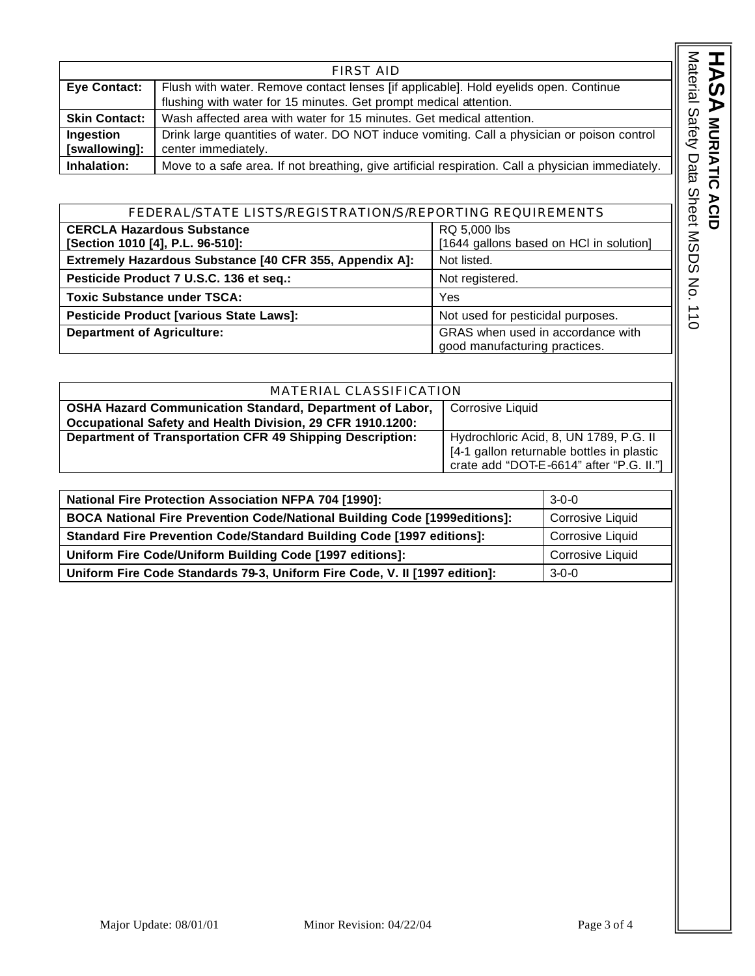|                            | <b>FIRST AID</b>                                                                                                                                          |
|----------------------------|-----------------------------------------------------------------------------------------------------------------------------------------------------------|
| <b>Eye Contact:</b>        | Flush with water. Remove contact lenses [if applicable]. Hold eyelids open. Continue<br>flushing with water for 15 minutes. Get prompt medical attention. |
| <b>Skin Contact:</b>       | Wash affected area with water for 15 minutes. Get medical attention.                                                                                      |
| Ingestion<br>[swallowing]: | 11<br>Drink large quantities of water. DO NOT induce vomiting. Call a physician or poison control<br>center immediately.                                  |
| Inhalation:                | Move to a safe area. If not breathing, give artificial respiration. Call a physician immediately.                                                         |
|                            |                                                                                                                                                           |

| FEDERAL/STATE LISTS/REGISTRATION/S/REPORTING REQUIREMENTS |                                                                    |  |
|-----------------------------------------------------------|--------------------------------------------------------------------|--|
| <b>CERCLA Hazardous Substance</b>                         | RQ 5,000 lbs                                                       |  |
| [Section 1010 [4], P.L. 96-510]:                          | [1644 gallons based on HCI in solution]                            |  |
| Extremely Hazardous Substance [40 CFR 355, Appendix A]:   | Not listed.                                                        |  |
| Pesticide Product 7 U.S.C. 136 et seq.:                   | Not registered.                                                    |  |
| <b>Toxic Substance under TSCA:</b>                        | Yes                                                                |  |
| <b>Pesticide Product [various State Laws]:</b>            | Not used for pesticidal purposes.                                  |  |
| <b>Department of Agriculture:</b>                         | GRAS when used in accordance with<br>good manufacturing practices. |  |

| MATERIAL CLASSIFICATION                                          |                                           |  |
|------------------------------------------------------------------|-------------------------------------------|--|
| <b>OSHA Hazard Communication Standard, Department of Labor,</b>  | Corrosive Liquid                          |  |
| Occupational Safety and Health Division, 29 CFR 1910.1200:       |                                           |  |
| <b>Department of Transportation CFR 49 Shipping Description:</b> | Hydrochloric Acid, 8, UN 1789, P.G. II    |  |
|                                                                  | [4-1 gallon returnable bottles in plastic |  |
|                                                                  | crate add "DOT-E-6614" after "P.G. II."]  |  |
|                                                                  |                                           |  |

| <b>National Fire Protection Association NFPA 704 [1990]:</b>                 | $3-0-0$                 |
|------------------------------------------------------------------------------|-------------------------|
| BOCA National Fire Prevention Code/National Building Code [1999editions]:    | <b>Corrosive Liquid</b> |
| <b>Standard Fire Prevention Code/Standard Building Code [1997 editions]:</b> | <b>Corrosive Liquid</b> |
| Uniform Fire Code/Uniform Building Code [1997 editions]:                     | <b>Corrosive Liquid</b> |
| Uniform Fire Code Standards 79-3, Uniform Fire Code, V. II [1997 edition]:   | $3-0-0$                 |